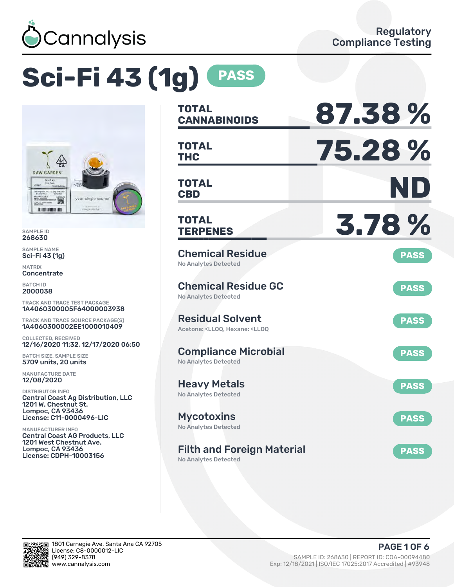

# **Sci-Fi 43 (1g) PASS**



SAMPLE ID 268630

SAMPLE NAME Sci-Fi 43 (1g)

MATRIX Concentrate

BATCH ID 2000038

TRACK AND TRACE TEST PACKAGE 1A4060300005F64000003938

TRACK AND TRACE SOURCE PACKAGE(S) 1A4060300002EE1000010409

COLLECTED, RECEIVED 12/16/2020 11:32, 12/17/2020 06:50

BATCH SIZE, SAMPLE SIZE 5709 units, 20 units

MANUFACTURE DATE 12/08/2020

DISTRIBUTOR INFO Central Coast Ag Distribution, LLC 1201 W. Chestnut St. Lompoc, CA 93436 License: C11-0000496-LIC

MANUFACTURER INFO Central Coast AG Products, LLC 1201 West Chestnut Ave. Lompoc, CA 93436 License: CDPH-10003156

| TOTAL<br><b>CANNABINOIDS</b>                                                                       | 87.38%      |
|----------------------------------------------------------------------------------------------------|-------------|
| <b>TOTAL</b><br><b>THC</b>                                                                         | 75.28%      |
| <b>TOTAL</b><br><b>CBD</b>                                                                         | ND          |
| <b>TOTAL</b><br><b>TERPENES</b>                                                                    | 3.78%       |
| <b>Chemical Residue</b><br><b>No Analytes Detected</b>                                             | <b>PASS</b> |
| <b>Chemical Residue GC</b><br>No Analytes Detected                                                 | <b>PASS</b> |
| <b>Residual Solvent</b><br>Acetone: <ll00. <ll00<="" hexane:="" td=""><td><b>PASS</b></td></ll00.> | <b>PASS</b> |
| <b>Compliance Microbial</b><br><b>No Analytes Detected</b>                                         | <b>PASS</b> |
| <b>Heavy Metals</b><br><b>No Analytes Detected</b>                                                 | <b>PASS</b> |
| <b>Mycotoxins</b><br>No Analytes Detected                                                          | <b>PASS</b> |
| <b>Filth and Foreign Material</b>                                                                  | <b>PASS</b> |

No Analytes Detected

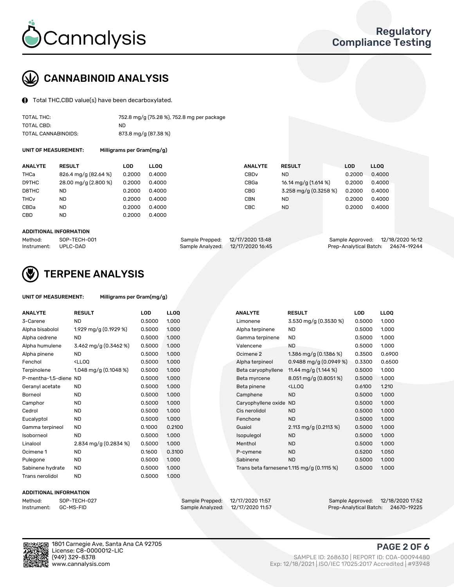

## CANNABINOID ANALYSIS

Total THC,CBD value(s) have been decarboxylated.

| TOTAL THC:          | 752.8 mg/g (75.28 %), 752.8 mg per package |
|---------------------|--------------------------------------------|
| TOTAL CBD:          | ND.                                        |
| TOTAL CANNABINOIDS: | 873.8 mg/g (87.38 %)                       |

UNIT OF MEASUREMENT: Milligrams per Gram(mg/g)

| <b>ANALYTE</b>         | <b>RESULT</b>        | LOD    | <b>LLOO</b> | <b>ANALYTE</b>   | <b>RESULT</b>         | <b>LOD</b> | LL <sub>00</sub> |
|------------------------|----------------------|--------|-------------|------------------|-----------------------|------------|------------------|
| THCa                   | 826.4 mg/g (82.64 %) | 0.2000 | 0.4000      | CBD <sub>v</sub> | ND                    | 0.2000     | 0.4000           |
| D9THC                  | 28.00 mg/g (2.800 %) | 0.2000 | 0.4000      | CBGa             | 16.14 mg/g (1.614 %)  | 0.2000     | 0.4000           |
| D8THC                  | ND                   | 0.2000 | 0.4000      | <b>CBG</b>       | 3.258 mg/g (0.3258 %) | 0.2000     | 0.4000           |
| <b>THC<sub>v</sub></b> | <b>ND</b>            | 0.2000 | 0.4000      | <b>CBN</b>       | <b>ND</b>             | 0.2000     | 0.4000           |
| CBDa                   | <b>ND</b>            | 0.2000 | 0.4000      | CBC              | <b>ND</b>             | 0.2000     | 0.4000           |
| <b>CBD</b>             | <b>ND</b>            | 0.2000 | 0.4000      |                  |                       |            |                  |
|                        |                      |        |             |                  |                       |            |                  |

#### ADDITIONAL INFORMATION

| Method:              | SOP-TECH-001 | Sample Prepped: 12/17/2020 13:48  | Sample Approved: 12/18/2020 16:12  |  |
|----------------------|--------------|-----------------------------------|------------------------------------|--|
| Instrument: UPLC-DAD |              | Sample Analyzed: 12/17/2020 16:45 | Prep-Analytical Batch: 24674-19244 |  |



## TERPENE ANALYSIS

UNIT OF MEASUREMENT: Milligrams per Gram(mg/g)

| <b>ANALYTE</b>        | <b>RESULT</b>                                                                                                                                        | LOD    | <b>LLOQ</b> | <b>ANALYTE</b>         | <b>RESULT</b>                                      | <b>LOD</b> | <b>LLOQ</b> |
|-----------------------|------------------------------------------------------------------------------------------------------------------------------------------------------|--------|-------------|------------------------|----------------------------------------------------|------------|-------------|
| 3-Carene              | <b>ND</b>                                                                                                                                            | 0.5000 | 1.000       | Limonene               | 3.530 mg/g (0.3530 %)                              | 0.5000     | 1.000       |
| Alpha bisabolol       | 1.929 mg/g (0.1929 %)                                                                                                                                | 0.5000 | 1.000       | Alpha terpinene        | <b>ND</b>                                          | 0.5000     | 1.000       |
| Alpha cedrene         | <b>ND</b>                                                                                                                                            | 0.5000 | 1.000       | Gamma terpinene        | <b>ND</b>                                          | 0.5000     | 1.000       |
| Alpha humulene        | 3.462 mg/g $(0.3462\%)$                                                                                                                              | 0.5000 | 1.000       | Valencene              | <b>ND</b>                                          | 0.5000     | 1.000       |
| Alpha pinene          | <b>ND</b>                                                                                                                                            | 0.5000 | 1.000       | Ocimene <sub>2</sub>   | 1.386 mg/g $(0.1386\%)$                            | 0.3500     | 0.6900      |
| Fenchol               | <lloq< td=""><td>0.5000</td><td>1.000</td><td>Alpha terpineol</td><td>0.9488 mg/g <math>(0.0949\%)</math></td><td>0.3300</td><td>0.6500</td></lloq<> | 0.5000 | 1.000       | Alpha terpineol        | 0.9488 mg/g $(0.0949\%)$                           | 0.3300     | 0.6500      |
| Terpinolene           | 1.048 mg/g $(0.1048\%)$                                                                                                                              | 0.5000 | 1.000       | Beta caryophyllene     | 11.44 mg/g (1.144 %)                               | 0.5000     | 1.000       |
| P-mentha-1,5-diene ND |                                                                                                                                                      | 0.5000 | 1.000       | Beta myrcene           | $8.051 \,\mathrm{mg/g}$ (0.8051%)                  | 0.5000     | 1.000       |
| Geranyl acetate       | <b>ND</b>                                                                                                                                            | 0.5000 | 1.000       | Beta pinene            | <lloq< td=""><td>0.6100</td><td>1.210</td></lloq<> | 0.6100     | 1.210       |
| Borneol               | <b>ND</b>                                                                                                                                            | 0.5000 | 1.000       | Camphene               | <b>ND</b>                                          | 0.5000     | 1.000       |
| Camphor               | <b>ND</b>                                                                                                                                            | 0.5000 | 1.000       | Caryophyllene oxide ND |                                                    | 0.5000     | 1.000       |
| Cedrol                | <b>ND</b>                                                                                                                                            | 0.5000 | 1.000       | Cis nerolidol          | <b>ND</b>                                          | 0.5000     | 1.000       |
| Eucalyptol            | <b>ND</b>                                                                                                                                            | 0.5000 | 1.000       | Fenchone               | <b>ND</b>                                          | 0.5000     | 1.000       |
| Gamma terpineol       | <b>ND</b>                                                                                                                                            | 0.1000 | 0.2100      | Guaiol                 | 2.113 mg/g $(0.2113%)$                             | 0.5000     | 1.000       |
| Isoborneol            | <b>ND</b>                                                                                                                                            | 0.5000 | 1.000       | Isopulegol             | <b>ND</b>                                          | 0.5000     | 1.000       |
| Linalool              | 2.834 mg/g (0.2834 %)                                                                                                                                | 0.5000 | 1.000       | Menthol                | <b>ND</b>                                          | 0.5000     | 1.000       |
| Ocimene 1             | <b>ND</b>                                                                                                                                            | 0.1600 | 0.3100      | P-cymene               | <b>ND</b>                                          | 0.5200     | 1.050       |
| Pulegone              | <b>ND</b>                                                                                                                                            | 0.5000 | 1.000       | Sabinene               | <b>ND</b>                                          | 0.5000     | 1.000       |
| Sabinene hydrate      | <b>ND</b>                                                                                                                                            | 0.5000 | 1.000       |                        | Trans beta farnesene 1.115 mg/g (0.1115 %)         | 0.5000     | 1.000       |
| Trans nerolidol       | <b>ND</b>                                                                                                                                            | 0.5000 | 1.000       |                        |                                                    |            |             |

#### ADDITIONAL INFORMATION

Method: SOP-TECH-027 Sample Prepped: 12/17/2020 11:57 Sample Approved: 12/18/2020 17:52 Sample Analyzed: 12/17/2020 11:57 Prep-Analytical Batch: 24670-19225



1801 Carnegie Ave, Santa Ana CA 92705 License: C8-0000012-LIC

## PAGE 2 OF 6

(949) 329-8378 SAMPLE ID: 268630 | REPORT ID: COA-00094480 Exp: 12/18/2021 | ISO/IEC 17025:2017 Accredited | #93948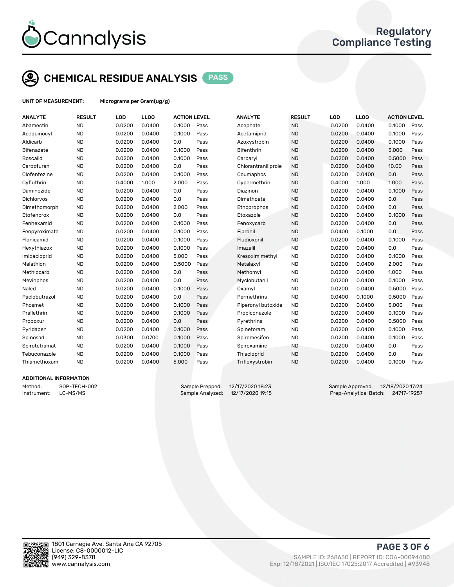

# CHEMICAL RESIDUE ANALYSIS PASS

UNIT OF MEASUREMENT: Micrograms per Gram(ug/g)

| <b>ANALYTE</b>  | <b>RESULT</b> | LOD    | LLOQ   | <b>ACTION LEVEL</b> |      | <b>ANALYTE</b>      | <b>RESULT</b> | LOD    | <b>LLOQ</b> | <b>ACTION LEVEL</b> |      |
|-----------------|---------------|--------|--------|---------------------|------|---------------------|---------------|--------|-------------|---------------------|------|
| Abamectin       | <b>ND</b>     | 0.0200 | 0.0400 | 0.1000              | Pass | Acephate            | <b>ND</b>     | 0.0200 | 0.0400      | 0.1000              | Pass |
| Acequinocyl     | <b>ND</b>     | 0.0200 | 0.0400 | 0.1000              | Pass | Acetamiprid         | <b>ND</b>     | 0.0200 | 0.0400      | 0.1000              | Pass |
| Aldicarb        | <b>ND</b>     | 0.0200 | 0.0400 | 0.0                 | Pass | Azoxystrobin        | <b>ND</b>     | 0.0200 | 0.0400      | 0.1000              | Pass |
| Bifenazate      | <b>ND</b>     | 0.0200 | 0.0400 | 0.1000              | Pass | <b>Bifenthrin</b>   | <b>ND</b>     | 0.0200 | 0.0400      | 3.000               | Pass |
| <b>Boscalid</b> | <b>ND</b>     | 0.0200 | 0.0400 | 0.1000              | Pass | Carbaryl            | <b>ND</b>     | 0.0200 | 0.0400      | 0.5000              | Pass |
| Carbofuran      | <b>ND</b>     | 0.0200 | 0.0400 | 0.0                 | Pass | Chlorantraniliprole | <b>ND</b>     | 0.0200 | 0.0400      | 10.00               | Pass |
| Clofentezine    | <b>ND</b>     | 0.0200 | 0.0400 | 0.1000              | Pass | Coumaphos           | <b>ND</b>     | 0.0200 | 0.0400      | 0.0                 | Pass |
| Cyfluthrin      | <b>ND</b>     | 0.4000 | 1.000  | 2.000               | Pass | Cypermethrin        | <b>ND</b>     | 0.4000 | 1.000       | 1.000               | Pass |
| Daminozide      | <b>ND</b>     | 0.0200 | 0.0400 | 0.0                 | Pass | Diazinon            | <b>ND</b>     | 0.0200 | 0.0400      | 0.1000              | Pass |
| Dichlorvos      | <b>ND</b>     | 0.0200 | 0.0400 | 0.0                 | Pass | Dimethoate          | <b>ND</b>     | 0.0200 | 0.0400      | 0.0                 | Pass |
| Dimethomorph    | <b>ND</b>     | 0.0200 | 0.0400 | 2.000               | Pass | Ethoprophos         | <b>ND</b>     | 0.0200 | 0.0400      | 0.0                 | Pass |
| Etofenprox      | <b>ND</b>     | 0.0200 | 0.0400 | 0.0                 | Pass | Etoxazole           | <b>ND</b>     | 0.0200 | 0.0400      | 0.1000              | Pass |
| Fenhexamid      | <b>ND</b>     | 0.0200 | 0.0400 | 0.1000              | Pass | Fenoxycarb          | <b>ND</b>     | 0.0200 | 0.0400      | 0.0                 | Pass |
| Fenpyroximate   | <b>ND</b>     | 0.0200 | 0.0400 | 0.1000              | Pass | Fipronil            | <b>ND</b>     | 0.0400 | 0.1000      | 0.0                 | Pass |
| Flonicamid      | <b>ND</b>     | 0.0200 | 0.0400 | 0.1000              | Pass | Fludioxonil         | <b>ND</b>     | 0.0200 | 0.0400      | 0.1000              | Pass |
| Hexythiazox     | <b>ND</b>     | 0.0200 | 0.0400 | 0.1000              | Pass | Imazalil            | <b>ND</b>     | 0.0200 | 0.0400      | 0.0                 | Pass |
| Imidacloprid    | <b>ND</b>     | 0.0200 | 0.0400 | 5.000               | Pass | Kresoxim methyl     | <b>ND</b>     | 0.0200 | 0.0400      | 0.1000              | Pass |
| Malathion       | <b>ND</b>     | 0.0200 | 0.0400 | 0.5000              | Pass | Metalaxyl           | <b>ND</b>     | 0.0200 | 0.0400      | 2.000               | Pass |
| Methiocarb      | <b>ND</b>     | 0.0200 | 0.0400 | 0.0                 | Pass | Methomyl            | <b>ND</b>     | 0.0200 | 0.0400      | 1.000               | Pass |
| Mevinphos       | <b>ND</b>     | 0.0200 | 0.0400 | 0.0                 | Pass | Myclobutanil        | <b>ND</b>     | 0.0200 | 0.0400      | 0.1000              | Pass |
| Naled           | <b>ND</b>     | 0.0200 | 0.0400 | 0.1000              | Pass | Oxamyl              | <b>ND</b>     | 0.0200 | 0.0400      | 0.5000              | Pass |
| Paclobutrazol   | <b>ND</b>     | 0.0200 | 0.0400 | 0.0                 | Pass | Permethrins         | <b>ND</b>     | 0.0400 | 0.1000      | 0.5000              | Pass |
| Phosmet         | <b>ND</b>     | 0.0200 | 0.0400 | 0.1000              | Pass | Piperonyl butoxide  | <b>ND</b>     | 0.0200 | 0.0400      | 3.000               | Pass |
| Prallethrin     | <b>ND</b>     | 0.0200 | 0.0400 | 0.1000              | Pass | Propiconazole       | <b>ND</b>     | 0.0200 | 0.0400      | 0.1000              | Pass |
| Propoxur        | <b>ND</b>     | 0.0200 | 0.0400 | 0.0                 | Pass | Pyrethrins          | <b>ND</b>     | 0.0200 | 0.0400      | 0.5000              | Pass |
| Pyridaben       | <b>ND</b>     | 0.0200 | 0.0400 | 0.1000              | Pass | Spinetoram          | <b>ND</b>     | 0.0200 | 0.0400      | 0.1000              | Pass |
| Spinosad        | <b>ND</b>     | 0.0300 | 0.0700 | 0.1000              | Pass | Spiromesifen        | <b>ND</b>     | 0.0200 | 0.0400      | 0.1000              | Pass |
| Spirotetramat   | <b>ND</b>     | 0.0200 | 0.0400 | 0.1000              | Pass | Spiroxamine         | <b>ND</b>     | 0.0200 | 0.0400      | 0.0                 | Pass |
| Tebuconazole    | <b>ND</b>     | 0.0200 | 0.0400 | 0.1000              | Pass | Thiacloprid         | <b>ND</b>     | 0.0200 | 0.0400      | 0.0                 | Pass |
| Thiamethoxam    | <b>ND</b>     | 0.0200 | 0.0400 | 5.000               | Pass | Trifloxystrobin     | <b>ND</b>     | 0.0200 | 0.0400      | 0.1000              | Pass |
|                 |               |        |        |                     |      |                     |               |        |             |                     |      |

#### ADDITIONAL INFORMATION

Method: SOP-TECH-002 Sample Prepped: 12/17/2020 18:23 Sample Approved: 12/18/2020 17:24 Instrument: LC-MS/MS Sample Analyzed: 12/17/2020 19:15 Prep-Analytical Batch: 24717-19257



PAGE 3 OF 6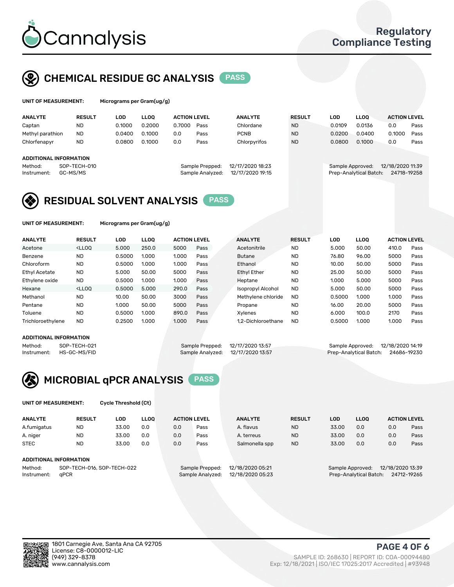

## CHEMICAL RESIDUE GC ANALYSIS PASS

| UNIT OF MEASUREMENT: |        |   | Micrograms per Gram(ug/g) |
|----------------------|--------|---|---------------------------|
| . <i>.</i>           | ------ | . | .                         |

| <b>LLOO</b><br><b>ACTION LEVEL</b> | <b>ANALYTE</b> | <b>RESULT</b>                        | <b>LOD</b> | <b>LLOO</b> | <b>ACTION LEVEL</b>                        |                  |
|------------------------------------|----------------|--------------------------------------|------------|-------------|--------------------------------------------|------------------|
| 0.2000<br>0.7000<br>Pass           | Chlordane      | <b>ND</b>                            | 0.0109     | 0.0136      | 0.0                                        | Pass             |
| 0.1000<br>0.0<br>Pass              | <b>PCNB</b>    | <b>ND</b>                            | 0.0200     | 0.0400      | 0.1000                                     | Pass             |
| 0.1000<br>0.0<br>Pass              | Chlorpyrifos   | <b>ND</b>                            | 0.0800     | 0.1000      | 0.0                                        | Pass             |
|                                    |                |                                      |            |             |                                            |                  |
|                                    |                |                                      |            |             |                                            |                  |
| Sample Prepped:                    |                |                                      |            |             |                                            |                  |
| Sample Analyzed:                   |                |                                      |            |             | 24718-19258                                |                  |
|                                    |                | 12/17/2020 18:23<br>12/17/2020 19:15 |            |             | Sample Approved:<br>Prep-Analytical Batch: | 12/18/2020 11:39 |

## RESIDUAL SOLVENT ANALYSIS PASS

UNIT OF MEASUREMENT: Micrograms per Gram(ug/g)

| <b>ANALYTE</b>       | <b>RESULT</b>                                                                                                                                                                          | LOD    | <b>LLOO</b> | <b>ACTION LEVEL</b> |      | <b>ANALYTE</b>           | <b>RESULT</b> | LOD    | <b>LLOO</b> | <b>ACTION LEVEL</b> |      |
|----------------------|----------------------------------------------------------------------------------------------------------------------------------------------------------------------------------------|--------|-------------|---------------------|------|--------------------------|---------------|--------|-------------|---------------------|------|
| Acetone              | <lloq< td=""><td>5.000</td><td>250.0</td><td>5000</td><td>Pass</td><td>Acetonitrile</td><td><b>ND</b></td><td>5.000</td><td>50.00</td><td>410.0</td><td>Pass</td></lloq<>              | 5.000  | 250.0       | 5000                | Pass | Acetonitrile             | <b>ND</b>     | 5.000  | 50.00       | 410.0               | Pass |
| Benzene              | <b>ND</b>                                                                                                                                                                              | 0.5000 | 1.000       | 1.000               | Pass | <b>Butane</b>            | <b>ND</b>     | 76.80  | 96.00       | 5000                | Pass |
| Chloroform           | <b>ND</b>                                                                                                                                                                              | 0.5000 | 1.000       | 1.000               | Pass | Ethanol                  | <b>ND</b>     | 10.00  | 50.00       | 5000                | Pass |
| <b>Ethyl Acetate</b> | <b>ND</b>                                                                                                                                                                              | 5.000  | 50.00       | 5000                | Pass | <b>Ethyl Ether</b>       | <b>ND</b>     | 25.00  | 50.00       | 5000                | Pass |
| Ethylene oxide       | <b>ND</b>                                                                                                                                                                              | 0.5000 | 1.000       | 1.000               | Pass | Heptane                  | <b>ND</b>     | 1.000  | 5.000       | 5000                | Pass |
| Hexane               | <lloo< td=""><td>0.5000</td><td>5.000</td><td>290.0</td><td>Pass</td><td><b>Isopropyl Alcohol</b></td><td><b>ND</b></td><td>5.000</td><td>50.00</td><td>5000</td><td>Pass</td></lloo<> | 0.5000 | 5.000       | 290.0               | Pass | <b>Isopropyl Alcohol</b> | <b>ND</b>     | 5.000  | 50.00       | 5000                | Pass |
| Methanol             | <b>ND</b>                                                                                                                                                                              | 10.00  | 50.00       | 3000                | Pass | Methylene chloride       | <b>ND</b>     | 0.5000 | 1.000       | 1.000               | Pass |
| Pentane              | <b>ND</b>                                                                                                                                                                              | 1.000  | 50.00       | 5000                | Pass | Propane                  | <b>ND</b>     | 16.00  | 20.00       | 5000                | Pass |
| Toluene              | <b>ND</b>                                                                                                                                                                              | 0.5000 | 1.000       | 890.0               | Pass | Xvlenes                  | <b>ND</b>     | 6.000  | 100.0       | 2170                | Pass |
| Trichloroethylene    | <b>ND</b>                                                                                                                                                                              | 0.2500 | 1.000       | 1.000               | Pass | 1.2-Dichloroethane       | <b>ND</b>     | 0.5000 | 1.000       | 1.000               | Pass |

#### ADDITIONAL INFORMATION

|         | AUDITIONAL INFORMATION   |                                   |                                    |  |
|---------|--------------------------|-----------------------------------|------------------------------------|--|
| Method: | SOP-TECH-021             | Sample Prepped: 12/17/2020 13:57  | Sample Approved: 12/18/2020 14:19  |  |
|         | Instrument: HS-GC-MS/FID | Sample Analyzed: 12/17/2020 13:57 | Prep-Analytical Batch: 24686-19230 |  |



UNIT OF MEASUREMENT: Cycle Threshold (Ct)

| <b>ANALYTE</b>         | <b>RESULT</b>              | LOD   | <b>LLOO</b> | <b>ACTION LEVEL</b> |                  | <b>ANALYTE</b>   | <b>RESULT</b> | LOD   | <b>LLOO</b>            |                  | <b>ACTION LEVEL</b> |
|------------------------|----------------------------|-------|-------------|---------------------|------------------|------------------|---------------|-------|------------------------|------------------|---------------------|
| A.fumigatus            | ND                         | 33.00 | 0.0         | 0.0                 | Pass             | A. flavus        | <b>ND</b>     | 33.00 | 0.0                    | 0.0              | Pass                |
| A. niger               | <b>ND</b>                  | 33.00 | 0.0         | 0.0                 | Pass             | A. terreus       | <b>ND</b>     | 33.00 | 0.0                    | 0.0              | Pass                |
| <b>STEC</b>            | <b>ND</b>                  | 33.00 | 0.0         | 0.0                 | Pass             | Salmonella spp   | <b>ND</b>     | 33.00 | 0.0                    | 0.0              | Pass                |
| ADDITIONAL INFORMATION |                            |       |             |                     |                  |                  |               |       |                        |                  |                     |
| Method:                | SOP-TECH-016, SOP-TECH-022 |       |             |                     | Sample Prepped:  | 12/18/2020 05:21 |               |       | Sample Approved:       | 12/18/2020 13:39 |                     |
| Instrument:            | aPCR                       |       |             |                     | Sample Analyzed: | 12/18/2020 05:23 |               |       | Prep-Analytical Batch: |                  | 24712-19265         |



PAGE 4 OF 6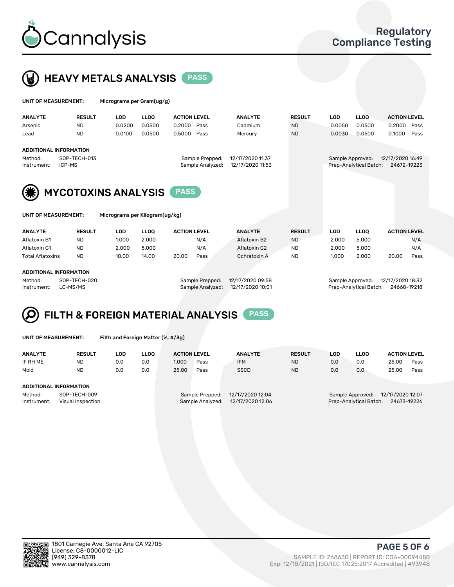



| UNIT OF MEASUREMENT: |                            |            | Micrograms per Gram(ug/g) |                     |                  |               |            |                        |                     |      |  |
|----------------------|----------------------------|------------|---------------------------|---------------------|------------------|---------------|------------|------------------------|---------------------|------|--|
| <b>ANALYTE</b>       | <b>RESULT</b>              | <b>LOD</b> | <b>LLOO</b>               | <b>ACTION LEVEL</b> | <b>ANALYTE</b>   | <b>RESULT</b> | <b>LOD</b> | LLOO <sup>1</sup>      | <b>ACTION LEVEL</b> |      |  |
| Arsenic              | <b>ND</b>                  | 0.0200     | 0.0500                    | 0.2000<br>Pass      | Cadmium          | <b>ND</b>     | 0.0050     | 0.0500                 | 0.2000              | Pass |  |
| Lead                 | <b>ND</b>                  | 0.0100     | 0.0500                    | 0.5000<br>Pass      | Mercury          | <b>ND</b>     | 0.0030     | 0.0500                 | 0.1000              | Pass |  |
|                      | ADDITIONAL INFORMATION     |            |                           |                     |                  |               |            |                        |                     |      |  |
| Method:              | SOP-TECH-013               |            |                           | Sample Prepped:     | 12/17/2020 11:37 |               |            | Sample Approved:       | 12/17/2020 16:49    |      |  |
| Instrument:          | ICP-MS                     |            |                           | Sample Analyzed:    | 12/17/2020 11:53 |               |            | Prep-Analytical Batch: | 24672-19223         |      |  |
|                      |                            |            |                           |                     |                  |               |            |                        |                     |      |  |
| (楽)                  | <b>MYCOTOXINS ANALYSIS</b> |            |                           | <b>PASS</b>         |                  |               |            |                        |                     |      |  |



UNIT OF MEASUREMENT: Micrograms per Kilogram(ug/kg)

| <b>ANALYTE</b>          | <b>RESULT</b> | LOD   | <b>LLOO</b> | <b>ACTION LEVEL</b> |      | <b>ANALYTE</b> | <b>RESULT</b> | LOD   | <b>LLOO</b> | <b>ACTION LEVEL</b> |      |
|-------------------------|---------------|-------|-------------|---------------------|------|----------------|---------------|-------|-------------|---------------------|------|
| Aflatoxin B1            | <b>ND</b>     | 1.000 | 2.000       |                     | N/A  | Aflatoxin B2   | <b>ND</b>     | 2.000 | 5.000       |                     | N/A  |
| Aflatoxin G1            | <b>ND</b>     | 2.000 | 5.000       |                     | N/A  | Aflatoxin G2   | <b>ND</b>     | 2.000 | 5.000       |                     | N/A  |
| <b>Total Aflatoxins</b> | <b>ND</b>     | 10.00 | 14.00       | 20.00               | Pass | Ochratoxin A   | <b>ND</b>     | 1.000 | 2.000       | 20.00               | Pass |
|                         |               |       |             |                     |      |                |               |       |             |                     |      |
|                         |               |       |             |                     |      |                |               |       |             |                     |      |

#### ADDITIONAL INFORMATION

Method: SOP-TECH-020 Sample Prepped: 12/17/2020 09:58 Sample Approved: 12/17/2020 18:32 Instrument: LC-MS/MS Sample Analyzed: 12/17/2020 10:01 Prep-Analytical Batch: 24668-19218



|  | UNIT OF MEASUREMENT: |
|--|----------------------|
|  |                      |

Filth and Foreign Matter (%, #/3g)

| <b>ANALYTE</b>                                              | <b>RESULT</b> | LOD | <b>LLOO</b> | <b>ACTION LEVEL</b>                                                         |      | <b>ANALYTE</b> | <b>RESULT</b>                                                                 | LOD | <b>LLOO</b> | <b>ACTION LEVEL</b> |      |
|-------------------------------------------------------------|---------------|-----|-------------|-----------------------------------------------------------------------------|------|----------------|-------------------------------------------------------------------------------|-----|-------------|---------------------|------|
| IF RH ME                                                    | <b>ND</b>     | 0.0 | 0.0         | 1.000                                                                       | Pass | <b>IFM</b>     | <b>ND</b>                                                                     | 0.0 | 0.0         | 25.00               | Pass |
| Mold                                                        | <b>ND</b>     | 0.0 | 0.0         | 25.00                                                                       | Pass | <b>SSCD</b>    | <b>ND</b>                                                                     | 0.0 | 0.0         | 25.00               | Pass |
| ADDITIONAL INFORMATION                                      |               |     |             |                                                                             |      |                |                                                                               |     |             |                     |      |
| Method:<br>SOP-TECH-009<br>Instrument:<br>Visual Inspection |               |     |             | 12/17/2020 12:04<br>Sample Prepped:<br>12/17/2020 12:06<br>Sample Analyzed: |      |                | 12/17/2020 12:07<br>Sample Approved:<br>Prep-Analytical Batch:<br>24673-19226 |     |             |                     |      |



PAGE 5 OF 6